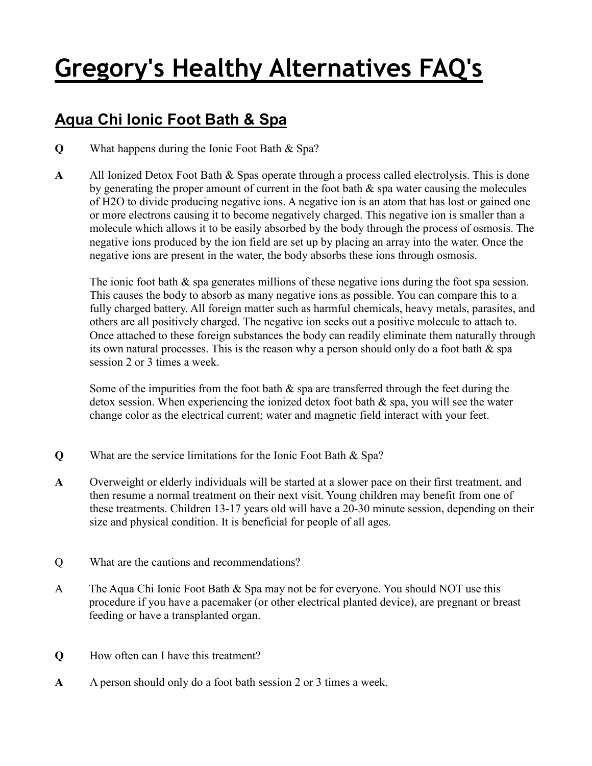## **Gregory's Healthy Alternatives FAQ's**

## **Aqua Chi Ionic Foot Bath & Spa**

- **Q** What happens during the Ionic Foot Bath & Spa?
- **A** All Ionized Detox Foot Bath & Spas operate through a process called electrolysis. This is done by generating the proper amount of current in the foot bath  $\&$  spa water causing the molecules of H2O to divide producing negative ions. A negative ion is an atom that has lost or gained one or more electrons causing it to become negatively charged. This negative ion is smaller than a molecule which allows it to be easily absorbed by the body through the process of osmosis. The negative ions produced by the ion field are set up by placing an array into the water. Once the negative ions are present in the water, the body absorbs these ions through osmosis.

The ionic foot bath  $\&$  spa generates millions of these negative ions during the foot spa session. This causes the body to absorb as many negative ions as possible. You can compare this to a fully charged battery. All foreign matter such as harmful chemicals, heavy metals, parasites, and others are all positively charged. The negative ion seeks out a positive molecule to attach to. Once attached to these foreign substances the body can readily eliminate them naturally through its own natural processes. This is the reason why a person should only do a foot bath & spa session 2 or 3 times a week.

Some of the impurities from the foot bath  $\&$  spa are transferred through the feet during the detox session. When experiencing the ionized detox foot bath & spa, you will see the water change color as the electrical current; water and magnetic field interact with your feet.

- **Q** What are the service limitations for the Ionic Foot Bath & Spa?
- **A** Overweight or elderly individuals will be started at a slower pace on their first treatment, and then resume a normal treatment on their next visit. Young children may benefit from one of these treatments. Children 13-17 years old will have a 20-30 minute session, depending on their size and physical condition. It is beneficial for people of all ages.
- Q What are the cautions and recommendations?
- A The Aqua Chi Ionic Foot Bath & Spa may not be for everyone. You should NOT use this procedure if you have a pacemaker (or other electrical planted device), are pregnant or breast feeding or have a transplanted organ.
- **Q** How often can I have this treatment?
- **A** A person should only do a foot bath session 2 or 3 times a week.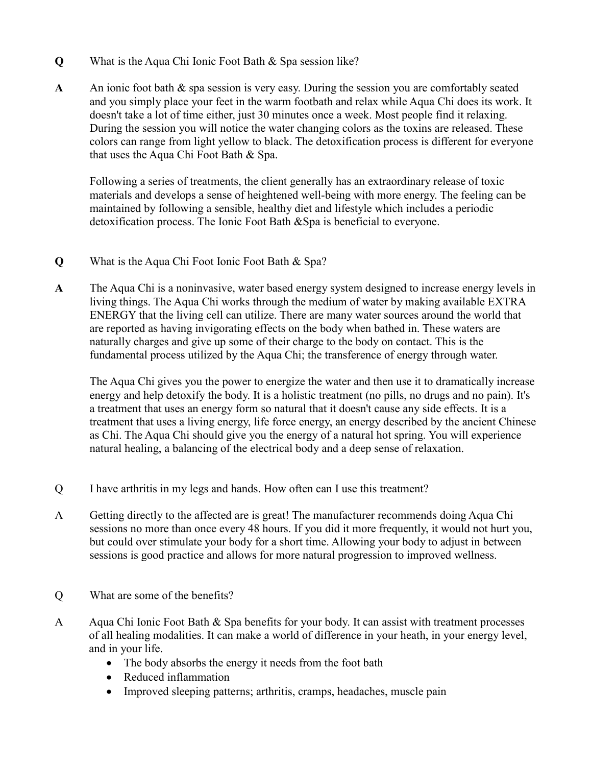- **Q** What is the Aqua Chi Ionic Foot Bath & Spa session like?
- A An ionic foot bath  $\&$  spa session is very easy. During the session you are comfortably seated and you simply place your feet in the warm footbath and relax while Aqua Chi does its work. It doesn't take a lot of time either, just 30 minutes once a week. Most people find it relaxing. During the session you will notice the water changing colors as the toxins are released. These colors can range from light yellow to black. The detoxification process is different for everyone that uses the Aqua Chi Foot Bath & Spa.

 Following a series of treatments, the client generally has an extraordinary release of toxic materials and develops a sense of heightened well-being with more energy. The feeling can be maintained by following a sensible, healthy diet and lifestyle which includes a periodic detoxification process. The Ionic Foot Bath &Spa is beneficial to everyone.

- **Q** What is the Aqua Chi Foot Ionic Foot Bath & Spa?
- **A** The Aqua Chi is a noninvasive, water based energy system designed to increase energy levels in living things. The Aqua Chi works through the medium of water by making available EXTRA ENERGY that the living cell can utilize. There are many water sources around the world that are reported as having invigorating effects on the body when bathed in. These waters are naturally charges and give up some of their charge to the body on contact. This is the fundamental process utilized by the Aqua Chi; the transference of energy through water.

 The Aqua Chi gives you the power to energize the water and then use it to dramatically increase energy and help detoxify the body. It is a holistic treatment (no pills, no drugs and no pain). It's a treatment that uses an energy form so natural that it doesn't cause any side effects. It is a treatment that uses a living energy, life force energy, an energy described by the ancient Chinese as Chi. The Aqua Chi should give you the energy of a natural hot spring. You will experience natural healing, a balancing of the electrical body and a deep sense of relaxation.

- Q I have arthritis in my legs and hands. How often can I use this treatment?
- A Getting directly to the affected are is great! The manufacturer recommends doing Aqua Chi sessions no more than once every 48 hours. If you did it more frequently, it would not hurt you, but could over stimulate your body for a short time. Allowing your body to adjust in between sessions is good practice and allows for more natural progression to improved wellness.
- Q What are some of the benefits?
- A Aqua Chi Ionic Foot Bath & Spa benefits for your body. It can assist with treatment processes of all healing modalities. It can make a world of difference in your heath, in your energy level, and in your life.
	- The body absorbs the energy it needs from the foot bath
	- Reduced inflammation
	- Improved sleeping patterns; arthritis, cramps, headaches, muscle pain